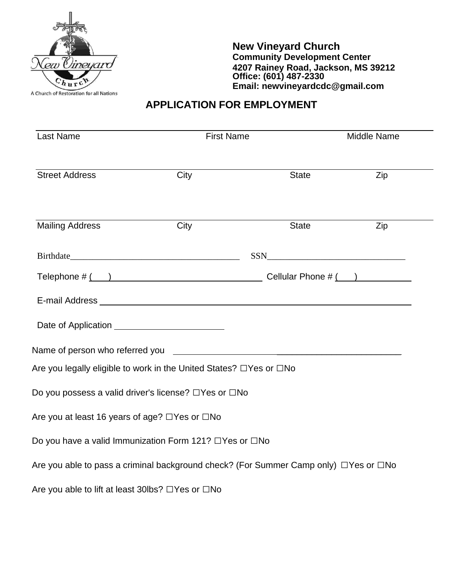

**New Vineyard Church Community Development Center 4207 Rainey Road, Jackson, MS 39212 Office: (601) 487-2330 Email: newvineyardcdc@gmail.com**

# **APPLICATION FOR EMPLOYMENT**

| <b>Last Name</b>                                                                       | <b>First Name</b> |                                                                                                                                                                                                                                                                                                     | Middle Name |  |
|----------------------------------------------------------------------------------------|-------------------|-----------------------------------------------------------------------------------------------------------------------------------------------------------------------------------------------------------------------------------------------------------------------------------------------------|-------------|--|
| <b>Street Address</b>                                                                  | City              | <b>State</b>                                                                                                                                                                                                                                                                                        | Zip         |  |
| <b>Mailing Address</b>                                                                 | City              | State                                                                                                                                                                                                                                                                                               | Zip         |  |
|                                                                                        |                   | $SSN$                                                                                                                                                                                                                                                                                               |             |  |
|                                                                                        |                   | Telephone $\#\underline{(-)}$ $\underline{\hspace{1cm}}$ $\phantom{1.1}$ $\phantom{1.1}$ $\phantom{1.1}$ $\phantom{1.1}$ $\phantom{1.1}$ $\phantom{1.1}$ $\phantom{1.1}$ $\phantom{1.1}$ $\phantom{1.1}$ $\phantom{1.1}$ $\phantom{1.1}$ $\phantom{1.1}$ $\phantom{1.1}$ $\phantom{1.1}$ $\phantom$ |             |  |
|                                                                                        |                   | E-mail Address and the contract of the contract of the contract of the contract of the contract of the contract of the contract of the contract of the contract of the contract of the contract of the contract of the contrac                                                                      |             |  |
|                                                                                        |                   |                                                                                                                                                                                                                                                                                                     |             |  |
|                                                                                        |                   |                                                                                                                                                                                                                                                                                                     |             |  |
| Are you legally eligible to work in the United States? □Yes or □No                     |                   |                                                                                                                                                                                                                                                                                                     |             |  |
| Do you possess a valid driver's license? □Yes or □No                                   |                   |                                                                                                                                                                                                                                                                                                     |             |  |
| Are you at least 16 years of age? □Yes or □No                                          |                   |                                                                                                                                                                                                                                                                                                     |             |  |
| Do you have a valid Immunization Form 121? □Yes or □No                                 |                   |                                                                                                                                                                                                                                                                                                     |             |  |
| Are you able to pass a criminal background check? (For Summer Camp only) □ Yes or □ No |                   |                                                                                                                                                                                                                                                                                                     |             |  |
| Are you able to lift at least 30lbs? □Yes or □No                                       |                   |                                                                                                                                                                                                                                                                                                     |             |  |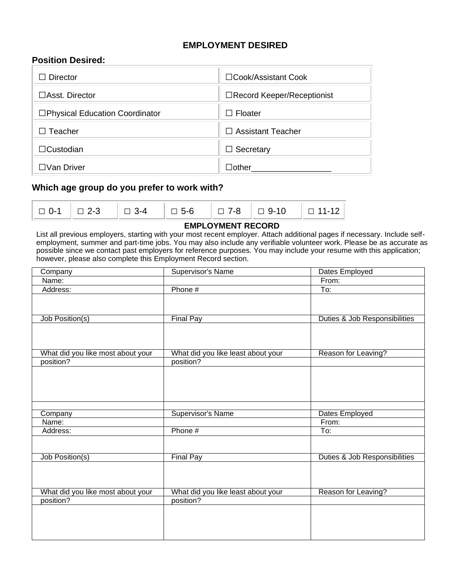## **EMPLOYMENT DESIRED**

## **Position Desired:**

| <b>Director</b>                 | □Cook/Assistant Cook        |
|---------------------------------|-----------------------------|
| $\Box$ Asst. Director           | □Record Keeper/Receptionist |
| □Physical Education Coordinator | $\Box$ Floater              |
| Teacher                         | $\Box$ Assistant Teacher    |
| $\Box$ Custodian                | Secretary<br>$\Box$         |
| コVan Driver                     | $\Box$ other                |

## **Which age group do you prefer to work with?**

|--|--|--|--|--|--|--|

#### **EMPLOYMENT RECORD**

List all previous employers, starting with your most recent employer. Attach additional pages if necessary. Include selfemployment, summer and part-time jobs. You may also include any verifiable volunteer work. Please be as accurate as possible since we contact past employers for reference purposes. You may include your resume with this application; however, please also complete this Employment Record section.

| Company                           | Supervisor's Name                  | Dates Employed                |
|-----------------------------------|------------------------------------|-------------------------------|
| Name:                             |                                    | From:                         |
| Address:                          | Phone #                            | To:                           |
|                                   |                                    |                               |
| Job Position(s)                   | <b>Final Pay</b>                   | Duties & Job Responsibilities |
|                                   |                                    |                               |
| What did you like most about your | What did you like least about your | Reason for Leaving?           |
| position?                         | position?                          |                               |
|                                   |                                    |                               |
| Company                           | <b>Supervisor's Name</b>           | Dates Employed                |
| Name:                             |                                    | From:                         |
| Address:                          | Phone #                            | To:                           |
|                                   |                                    |                               |
| Job Position(s)                   | <b>Final Pay</b>                   | Duties & Job Responsibilities |
|                                   |                                    |                               |
| What did you like most about your | What did you like least about your | Reason for Leaving?           |
| position?                         | position?                          |                               |
|                                   |                                    |                               |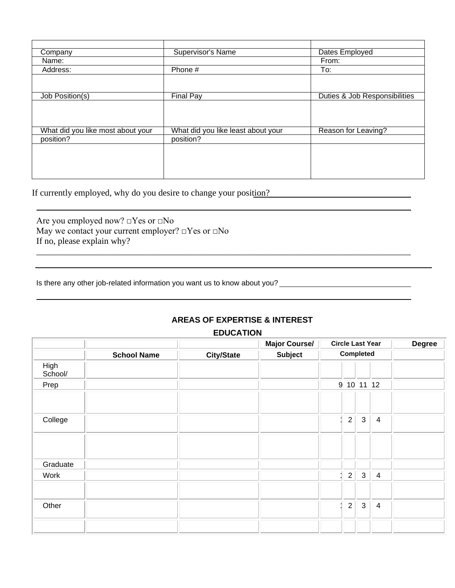| Company                           | Supervisor's Name                  | Dates Employed                |
|-----------------------------------|------------------------------------|-------------------------------|
| Name:                             |                                    | From:                         |
| Address:                          | Phone #                            | To:                           |
|                                   |                                    |                               |
|                                   |                                    |                               |
| Job Position(s)                   | <b>Final Pay</b>                   | Duties & Job Responsibilities |
|                                   |                                    |                               |
|                                   |                                    |                               |
|                                   |                                    |                               |
| What did you like most about your | What did you like least about your | Reason for Leaving?           |
| position?                         | position?                          |                               |
|                                   |                                    |                               |
|                                   |                                    |                               |
|                                   |                                    |                               |
|                                   |                                    |                               |

If currently employed, why do you desire to change your position?

Are you employed now? □Yes or □No May we contact your current employer?  $\Box$  Yes or  $\Box$  No If no, please explain why?

Is there any other job-related information you want us to know about you?<br>
<u>Interactive any other job-related information</u> you want us to know about you?

## **AREAS OF EXPERTISE & INTEREST**

**EDUCATION**

|                 |                    |                   | <b>Major Course/</b> | <b>Circle Last Year</b>                                     | <b>Degree</b> |
|-----------------|--------------------|-------------------|----------------------|-------------------------------------------------------------|---------------|
|                 | <b>School Name</b> | <b>City/State</b> | <b>Subject</b>       | <b>Completed</b>                                            |               |
| High<br>School/ |                    |                   |                      |                                                             |               |
| Prep            |                    |                   |                      | 9 10 11 12                                                  |               |
|                 |                    |                   |                      |                                                             |               |
| College         |                    |                   |                      | $\overline{3}$<br>$\overline{2}$<br>$\overline{\mathbf{4}}$ |               |
|                 |                    |                   |                      |                                                             |               |
| Graduate        |                    |                   |                      |                                                             |               |
| Work            |                    |                   |                      | $\mathbf{3}$<br>$\overline{2}$<br>4                         |               |
|                 |                    |                   |                      |                                                             |               |
| Other           |                    |                   |                      | $\mathfrak{S}$<br>$\overline{2}$<br>4                       |               |
|                 |                    |                   |                      |                                                             |               |